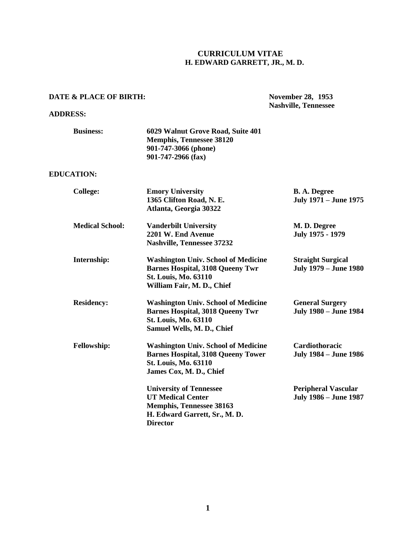# **CURRICULUM VITAE H. EDWARD GARRETT, JR., M. D.**

## **DATE & PLACE OF BIRTH:**

## **ADDRESS:**

**Nashville, Tennessee**

| <b>Business:</b>       | 6029 Walnut Grove Road, Suite 401<br><b>Memphis, Tennessee 38120</b><br>901-747-3066 (phone)<br>901-747-2966 (fax)                                 |                                                            |
|------------------------|----------------------------------------------------------------------------------------------------------------------------------------------------|------------------------------------------------------------|
| <b>EDUCATION:</b>      |                                                                                                                                                    |                                                            |
| <b>College:</b>        | <b>Emory University</b><br>1365 Clifton Road, N. E.<br>Atlanta, Georgia 30322                                                                      | <b>B. A. Degree</b><br><b>July 1971 – June 1975</b>        |
| <b>Medical School:</b> | <b>Vanderbilt University</b><br>2201 W. End Avenue<br><b>Nashville, Tennessee 37232</b>                                                            | M. D. Degree<br>July 1975 - 1979                           |
| Internship:            | <b>Washington Univ. School of Medicine</b><br><b>Barnes Hospital, 3108 Queeny Twr</b><br><b>St. Louis, Mo. 63110</b><br>William Fair, M. D., Chief | <b>Straight Surgical</b><br><b>July 1979 – June 1980</b>   |
| <b>Residency:</b>      | <b>Washington Univ. School of Medicine</b><br><b>Barnes Hospital, 3018 Queeny Twr</b><br><b>St. Louis, Mo. 63110</b><br>Samuel Wells, M. D., Chief | <b>General Surgery</b><br><b>July 1980 – June 1984</b>     |
| <b>Fellowship:</b>     | <b>Washington Univ. School of Medicine</b><br><b>Barnes Hospital, 3108 Queeny Tower</b><br><b>St. Louis, Mo. 63110</b><br>James Cox, M. D., Chief  | Cardiothoracic<br><b>July 1984 – June 1986</b>             |
|                        | <b>University of Tennessee</b><br><b>UT Medical Center</b><br><b>Memphis, Tennessee 38163</b><br>H. Edward Garrett, Sr., M. D.<br><b>Director</b>  | <b>Peripheral Vascular</b><br><b>July 1986 - June 1987</b> |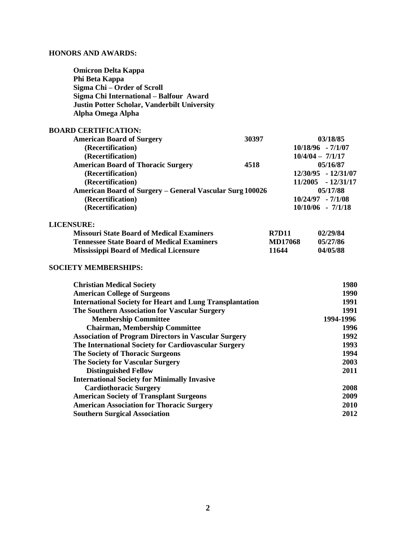# **HONORS AND AWARDS:**

 **Southern Surgical Association** 

| <b>Omicron Delta Kappa</b>                                      |              |                |                       |
|-----------------------------------------------------------------|--------------|----------------|-----------------------|
| Phi Beta Kappa                                                  |              |                |                       |
| Sigma Chi - Order of Scroll                                     |              |                |                       |
| Sigma Chi International - Balfour Award                         |              |                |                       |
| Justin Potter Scholar, Vanderbilt University                    |              |                |                       |
| Alpha Omega Alpha                                               |              |                |                       |
| <b>BOARD CERTIFICATION:</b>                                     |              |                |                       |
| <b>American Board of Surgery</b>                                | 30397        |                | 03/18/85              |
| (Recertification)                                               |              |                | $10/18/96 - 7/1/07$   |
| (Recertification)                                               |              |                | $10/4/04 - 7/1/17$    |
| <b>American Board of Thoracic Surgery</b>                       | 4518         |                | 05/16/87              |
| (Recertification)                                               |              |                | 12/30/95 - 12/31/07   |
| (Recertification)                                               |              |                | $11/2005 - 12/31/17$  |
| <b>American Board of Surgery - General Vascular Surg 100026</b> |              |                | 05/17/88              |
| (Recertification)                                               |              |                | $10/24/97 - 7/1/08$   |
| (Recertification)                                               |              |                | $10/10/06$ - $7/1/18$ |
| <b>LICENSURE:</b>                                               |              |                |                       |
| <b>Missouri State Board of Medical Examiners</b>                | <b>R7D11</b> |                | 02/29/84              |
| <b>Tennessee State Board of Medical Examiners</b>               |              | <b>MD17068</b> | 05/27/86              |
| <b>Mississippi Board of Medical Licensure</b>                   | 11644        |                | 04/05/88              |
| <b>SOCIETY MEMBERSHIPS:</b>                                     |              |                |                       |
| <b>Christian Medical Society</b>                                |              |                | 1980                  |
| <b>American College of Surgeons</b>                             |              |                | 1990                  |
| <b>International Society for Heart and Lung Transplantation</b> |              |                | 1991                  |
| The Southern Association for Vascular Surgery                   |              |                | 1991                  |
| <b>Membership Committee</b>                                     |              |                | 1994-1996             |
| <b>Chairman, Membership Committee</b>                           |              |                | 1996                  |
| <b>Association of Program Directors in Vascular Surgery</b>     |              | 1992           |                       |
| The International Society for Cardiovascular Surgery            |              | 1993           |                       |
| <b>The Society of Thoracic Surgeons</b>                         |              |                | 1994                  |
| <b>The Society for Vascular Surgery</b>                         |              |                | 2003                  |
| <b>Distinguished Fellow</b>                                     |              |                | 2011                  |
| <b>International Society for Minimally Invasive</b>             |              |                |                       |
| <b>Cardiothoracic Surgery</b>                                   |              |                | 2008                  |
| <b>American Society of Transplant Surgeons</b>                  |              |                | 2009                  |
| <b>American Association for Thoracic Surgery</b>                |              |                | 2010                  |
| <b>Southern Surgical Association</b>                            |              |                | 2012                  |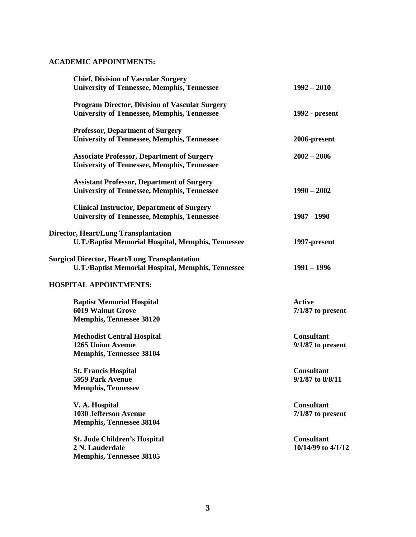# **ACADEMIC APPOINTMENTS:**

| <b>Chief, Division of Vascular Surgery</b><br><b>University of Tennessee, Memphis, Tennessee</b>                  | $1992 - 2010$                            |
|-------------------------------------------------------------------------------------------------------------------|------------------------------------------|
| <b>Program Director, Division of Vascular Surgery</b>                                                             |                                          |
| <b>University of Tennessee, Memphis, Tennessee</b>                                                                | 1992 - present                           |
| <b>Professor, Department of Surgery</b>                                                                           |                                          |
| <b>University of Tennessee, Memphis, Tennessee</b>                                                                | 2006-present                             |
| <b>Associate Professor, Department of Surgery</b><br><b>University of Tennessee, Memphis, Tennessee</b>           | $2002 - 2006$                            |
| <b>Assistant Professor, Department of Surgery</b><br><b>University of Tennessee, Memphis, Tennessee</b>           | $1990 - 2002$                            |
| <b>Clinical Instructor, Department of Surgery</b><br><b>University of Tennessee, Memphis, Tennessee</b>           | 1987 - 1990                              |
| <b>Director, Heart/Lung Transplantation</b><br><b>U.T./Baptist Memorial Hospital, Memphis, Tennessee</b>          | 1997-present                             |
| <b>Surgical Director, Heart/Lung Transplantation</b><br><b>U.T./Baptist Memorial Hospital, Memphis, Tennessee</b> | $1991 - 1996$                            |
| <b>HOSPITAL APPOINTMENTS:</b>                                                                                     |                                          |
| <b>Baptist Memorial Hospital</b><br><b>6019 Walnut Grove</b>                                                      | <b>Active</b><br>$7/1/87$ to present     |
| <b>Memphis, Tennessee 38120</b>                                                                                   |                                          |
| <b>Methodist Central Hospital</b><br><b>1265 Union Avenue</b><br><b>Memphis, Tennessee 38104</b>                  | <b>Consultant</b><br>$9/1/87$ to present |
| <b>St. Francis Hospital</b><br>5959 Park Avenue                                                                   | <b>Consultant</b><br>9/1/87 to 8/8/11    |
| <b>Memphis, Tennessee</b>                                                                                         |                                          |
| V. A. Hospital<br><b>1030 Jefferson Avenue</b>                                                                    | <b>Consultant</b><br>$7/1/87$ to present |
| <b>Memphis, Tennessee 38104</b>                                                                                   |                                          |
| <b>St. Jude Children's Hospital</b><br>2 N. Lauderdale<br><b>Memphis, Tennessee 38105</b>                         | <b>Consultant</b><br>10/14/99 to 4/1/12  |
|                                                                                                                   |                                          |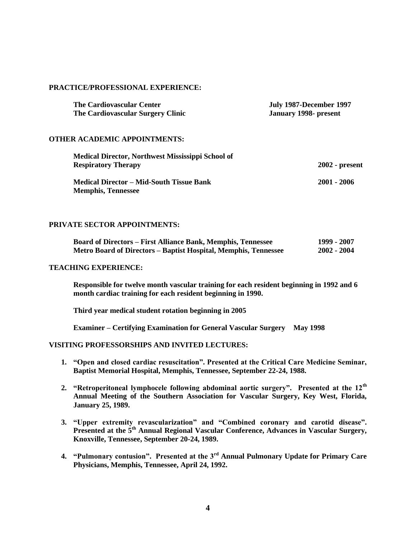## **PRACTICE/PROFESSIONAL EXPERIENCE:**

| <b>The Cardiovascular Center</b>  | July 1987-December 1997 |
|-----------------------------------|-------------------------|
| The Cardiovascular Surgery Clinic | January 1998- present   |

## **OTHER ACADEMIC APPOINTMENTS:**

| Medical Director, Northwest Mississippi School of                            |                  |
|------------------------------------------------------------------------------|------------------|
| <b>Respiratory Therapy</b>                                                   | $2002$ - present |
| <b>Medical Director – Mid-South Tissue Bank</b><br><b>Memphis, Tennessee</b> | $2001 - 2006$    |

## **PRIVATE SECTOR APPOINTMENTS:**

| <b>Board of Directors – First Alliance Bank, Memphis, Tennessee</b> | 1999 - 2007   |  |
|---------------------------------------------------------------------|---------------|--|
| Metro Board of Directors - Baptist Hospital, Memphis, Tennessee     | $2002 - 2004$ |  |

#### **TEACHING EXPERIENCE:**

**Responsible for twelve month vascular training for each resident beginning in 1992 and 6 month cardiac training for each resident beginning in 1990.** 

**Third year medical student rotation beginning in 2005**

**Examiner – Certifying Examination for General Vascular Surgery May 1998**

## **VISITING PROFESSORSHIPS AND INVITED LECTURES:**

- **1. "Open and closed cardiac resuscitation". Presented at the Critical Care Medicine Seminar, Baptist Memorial Hospital, Memphis, Tennessee, September 22-24, 1988.**
- **2. "Retroperitoneal lymphocele following abdominal aortic surgery". Presented at the 12th Annual Meeting of the Southern Association for Vascular Surgery, Key West, Florida, January 25, 1989.**
- **3. "Upper extremity revascularization" and "Combined coronary and carotid disease". Presented at the 5th Annual Regional Vascular Conference, Advances in Vascular Surgery, Knoxville, Tennessee, September 20-24, 1989.**
- **4. "Pulmonary contusion". Presented at the 3rd Annual Pulmonary Update for Primary Care Physicians, Memphis, Tennessee, April 24, 1992.**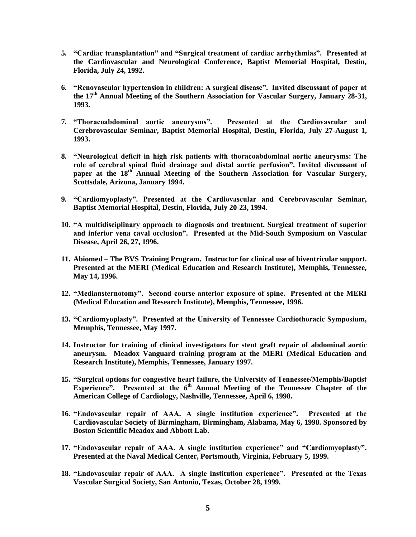- **5. "Cardiac transplantation" and "Surgical treatment of cardiac arrhythmias". Presented at the Cardiovascular and Neurological Conference, Baptist Memorial Hospital, Destin, Florida, July 24, 1992.**
- **6. "Renovascular hypertension in children: A surgical disease". Invited discussant of paper at the 17th Annual Meeting of the Southern Association for Vascular Surgery, January 28-31, 1993.**
- **7. "Thoracoabdominal aortic aneurysms". Presented at the Cardiovascular and Cerebrovascular Seminar, Baptist Memorial Hospital, Destin, Florida, July 27-August 1, 1993.**
- **8. "Neurological deficit in high risk patients with thoracoabdominal aortic aneurysms: The role of cerebral spinal fluid drainage and distal aortic perfusion". Invited discussant of**  paper at the 18<sup>th</sup> Annual Meeting of the Southern Association for Vascular Surgery, **Scottsdale, Arizona, January 1994.**
- **9. "Cardiomyoplasty". Presented at the Cardiovascular and Cerebrovascular Seminar, Baptist Memorial Hospital, Destin, Florida, July 20-23, 1994.**
- **10. "A multidisciplinary approach to diagnosis and treatment. Surgical treatment of superior and inferior vena caval occlusion". Presented at the Mid-South Symposium on Vascular Disease, April 26, 27, 1996.**
- **11. Abiomed – The BVS Training Program. Instructor for clinical use of biventricular support. Presented at the MERI (Medical Education and Research Institute), Memphis, Tennessee, May 14, 1996.**
- **12. "Mediansternotomy". Second course anterior exposure of spine. Presented at the MERI (Medical Education and Research Institute), Memphis, Tennessee, 1996.**
- **13. "Cardiomyoplasty". Presented at the University of Tennessee Cardiothoracic Symposium, Memphis, Tennessee, May 1997.**
- **14. Instructor for training of clinical investigators for stent graft repair of abdominal aortic aneurysm. Meadox Vanguard training program at the MERI (Medical Education and Research Institute), Memphis, Tennessee, January 1997.**
- **15. "Surgical options for congestive heart failure, the University of Tennessee/Memphis/Baptist**  Experience". Presented at the 6<sup>th</sup> Annual Meeting of the Tennessee Chapter of the **American College of Cardiology, Nashville, Tennessee, April 6, 1998.**
- **16. "Endovascular repair of AAA. A single institution experience". Presented at the Cardiovascular Society of Birmingham, Birmingham, Alabama, May 6, 1998. Sponsored by Boston Scientific Meadox and Abbott Lab.**
- **17. "Endovascular repair of AAA. A single institution experience" and "Cardiomyoplasty". Presented at the Naval Medical Center, Portsmouth, Virginia, February 5, 1999.**
- **18. "Endovascular repair of AAA. A single institution experience". Presented at the Texas Vascular Surgical Society, San Antonio, Texas, October 28, 1999.**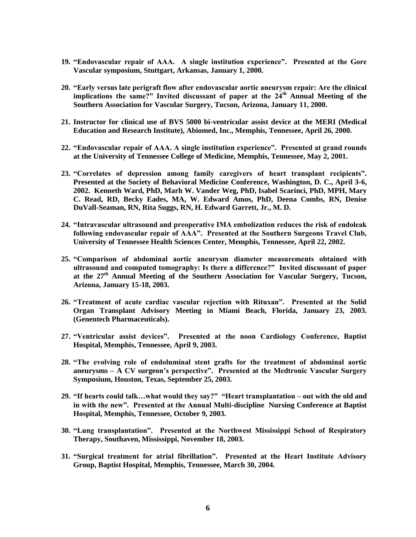- **19. "Endovascular repair of AAA. A single institution experience". Presented at the Gore Vascular symposium, Stuttgart, Arkansas, January 1, 2000.**
- **20. "Early versus late perigraft flow after endovascular aortic aneurysm repair: Are the clinical implications the same?" Invited discussant of paper at the 24th Annual Meeting of the Southern Association for Vascular Surgery, Tucson, Arizona, January 11, 2000.**
- **21. Instructor for clinical use of BVS 5000 bi-ventricular assist device at the MERI (Medical Education and Research Institute), Abiomed, Inc., Memphis, Tennessee, April 26, 2000.**
- **22. "Endovascular repair of AAA. A single institution experience". Presented at grand rounds at the University of Tennessee College of Medicine, Memphis, Tennessee, May 2, 2001.**
- **23. "Correlates of depression among family caregivers of heart transplant recipients". Presented at the Society of Behavioral Medicine Conference, Washington, D. C., April 3-6, 2002. Kenneth Ward, PhD, Marh W. Vander Weg, PhD, Isabel Scarinci, PhD, MPH, Mary C. Read, RD, Becky Eades, MA, W. Edward Amos, PhD, Deena Combs, RN, Denise DuVall-Seaman, RN, Rita Suggs, RN, H. Edward Garrett, Jr., M. D.**
- **24. "Intravascular ultrasound and preoperative IMA embolization reduces the risk of endoleak following endovascular repair of AAA". Presented at the Southern Surgeons Travel Club, University of Tennessee Health Sciences Center, Memphis, Tennessee, April 22, 2002.**
- **25. "Comparison of abdominal aortic aneurysm diameter measurements obtained with ultrasound and computed tomography: Is there a difference?" Invited discussant of paper at the 27th Annual Meeting of the Southern Association for Vascular Surgery, Tucson, Arizona, January 15-18, 2003.**
- **26. "Treatment of acute cardiac vascular rejection with Rituxan". Presented at the Solid Organ Transplant Advisory Meeting in Miami Beach, Florida, January 23, 2003. (Genentech Pharmaceuticals).**
- **27. "Ventricular assist devices". Presented at the noon Cardiology Conference, Baptist Hospital, Memphis, Tennessee, April 9, 2003.**
- **28. "The evolving role of endoluminal stent grafts for the treatment of abdominal aortic aneurysms – A CV surgeon's perspective". Presented at the Medtronic Vascular Surgery Symposium, Houston, Texas, September 25, 2003.**
- **29. "If hearts could talk…what would they say?" "Heart transplantation – out with the old and in with the new". Presented at the Annual Multi-discipline Nursing Conference at Baptist Hospital, Memphis, Tennessee, October 9, 2003.**
- **30. "Lung transplantation". Presented at the Northwest Mississippi School of Respiratory Therapy, Southaven, Mississippi, November 18, 2003.**
- **31. "Surgical treatment for atrial fibrillation". Presented at the Heart Institute Advisory Group, Baptist Hospital, Memphis, Tennessee, March 30, 2004.**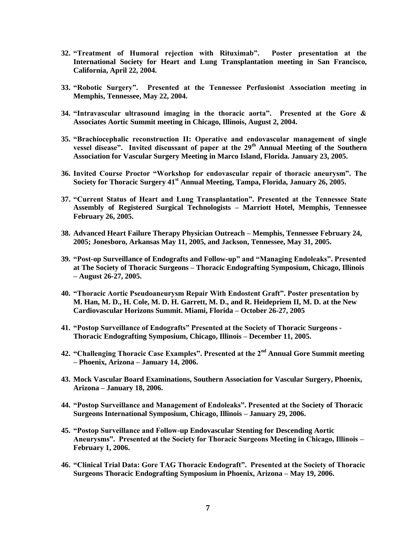- **32. "Treatment of Humoral rejection with Rituximab". Poster presentation at the International Society for Heart and Lung Transplantation meeting in San Francisco, California, April 22, 2004.**
- **33. "Robotic Surgery". Presented at the Tennessee Perfusionist Association meeting in Memphis, Tennessee, May 22, 2004.**
- **34. "Intravascular ultrasound imaging in the thoracic aorta". Presented at the Gore & Associates Aortic Summit meeting in Chicago, Illinois, August 2, 2004.**
- **35. "Brachiocephalic reconstruction II: Operative and endovascular management of single vessel disease". Invited discussant of paper at the 29th Annual Meeting of the Southern Association for Vascular Surgery Meeting in Marco Island, Florida. January 23, 2005.**
- **36. Invited Course Proctor "Workshop for endovascular repair of thoracic aneurysm". The Society for Thoracic Surgery 41st Annual Meeting, Tampa, Florida, January 26, 2005.**
- **37. "Current Status of Heart and Lung Transplantation". Presented at the Tennessee State Assembly of Registered Surgical Technologists – Marriott Hotel, Memphis, Tennessee February 26, 2005.**
- **38. Advanced Heart Failure Therapy Physician Outreach – Memphis, Tennessee February 24, 2005; Jonesboro, Arkansas May 11, 2005, and Jackson, Tennessee, May 31, 2005.**
- **39. "Post-op Surveillance of Endografts and Follow-up" and "Managing Endoleaks". Presented at The Society of Thoracic Surgeons – Thoracic Endografting Symposium, Chicago, Illinois – August 26-27, 2005.**
- **40. "Thoracic Aortic Pseudoaneurysm Repair With Endostent Graft". Poster presentation by M. Han, M. D., H. Cole, M. D. H. Garrett, M. D., and R. Heidepriem II, M. D. at the New Cardiovascular Horizons Summit. Miami, Florida – October 26-27, 2005**
- **41. "Postop Surveillance of Endografts" Presented at the Society of Thoracic Surgeons - Thoracic Endografting Symposium, Chicago, Illinois – December 11, 2005.**
- **42. "Challenging Thoracic Case Examples". Presented at the 2nd Annual Gore Summit meeting – Phoenix, Arizona – January 14, 2006.**
- **43. Mock Vascular Board Examinations, Southern Association for Vascular Surgery, Phoenix, Arizona – January 18, 2006.**
- **44. "Postop Surveillance and Management of Endoleaks". Presented at the Society of Thoracic Surgeons International Symposium, Chicago, Illinois – January 29, 2006.**
- **45. "Postop Surveillance and Follow-up Endovascular Stenting for Descending Aortic Aneurysms". Presented at the Society for Thoracic Surgeons Meeting in Chicago, Illinois – February 1, 2006.**
- **46. "Clinical Trial Data: Gore TAG Thoracic Endograft". Presented at the Society of Thoracic Surgeons Thoracic Endografting Symposium in Phoenix, Arizona – May 19, 2006.**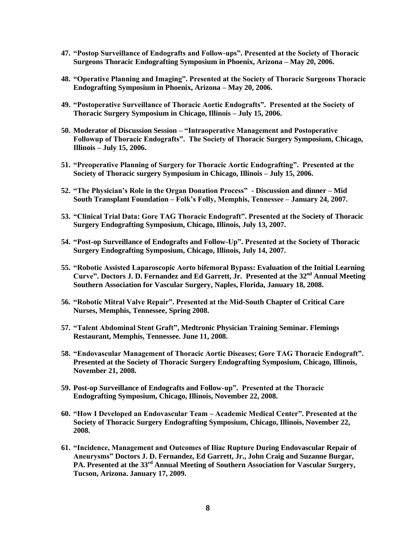- **47. "Postop Surveillance of Endografts and Follow-ups". Presented at the Society of Thoracic Surgeons Thoracic Endografting Symposium in Phoenix, Arizona – May 20, 2006.**
- **48. "Operative Planning and Imaging". Presented at the Society of Thoracic Surgeons Thoracic Endografting Symposium in Phoenix, Arizona – May 20, 2006.**
- **49. "Postoperative Surveillance of Thoracic Aortic Endografts". Presented at the Society of Thoracic Surgery Symposium in Chicago, Illinois – July 15, 2006.**
- **50. Moderator of Discussion Session – "Intraoperative Management and Postoperative Followup of Thoracic Endografts". The Society of Thoracic Surgery Symposium, Chicago, Illinois – July 15, 2006.**
- **51. "Preoperative Planning of Surgery for Thoracic Aortic Endografting". Presented at the Society of Thoracic surgery Symposium in Chicago, Illinois – July 15, 2006.**
- **52. "The Physician's Role in the Organ Donation Process" - Discussion and dinner – Mid South Transplant Foundation – Folk's Folly, Memphis, Tennessee – January 24, 2007.**
- **53. "Clinical Trial Data: Gore TAG Thoracic Endograft". Presented at the Society of Thoracic Surgery Endografting Symposium, Chicago, Illinois, July 13, 2007.**
- **54. "Post-op Surveillance of Endografts and Follow-Up". Presented at the Society of Thoracic Surgery Endografting Symposium, Chicago, Illinois, July 14, 2007.**
- **55. "Robotic Assisted Laparoscopic Aorto bifemoral Bypass: Evaluation of the Initial Learning Curve". Doctors J. D. Fernandez and Ed Garrett, Jr. Presented at the 32nd Annual Meeting Southern Association for Vascular Surgery, Naples, Florida, January 18, 2008.**
- **56. "Robotic Mitral Valve Repair". Presented at the Mid-South Chapter of Critical Care Nurses, Memphis, Tennessee, Spring 2008.**
- **57. "Talent Abdominal Stent Graft", Medtronic Physician Training Seminar. Flemings Restaurant, Memphis, Tennessee. June 11, 2008.**
- **58. "Endovascular Management of Thoracic Aortic Diseases; Gore TAG Thoracic Endograft". Presented at the Society of Thoracic Surgery Endografting Symposium, Chicago, Illinois, November 21, 2008.**
- **59. Post-op Surveillance of Endografts and Follow-up". Presented at the Thoracic Endografting Symposium, Chicago, Illinois, November 22, 2008.**
- **60. "How I Developed an Endovascular Team – Academic Medical Center". Presented at the Society of Thoracic Surgery Endografting Symposium, Chicago, Illinois, November 22, 2008.**
- **61. "Incidence, Management and Outcomes of Iliac Rupture During Endovascular Repair of Aneurysms" Doctors J. D. Fernandez, Ed Garrett, Jr., John Craig and Suzanne Burgar, PA. Presented at the 33rd Annual Meeting of Southern Association for Vascular Surgery, Tucson, Arizona. January 17, 2009.**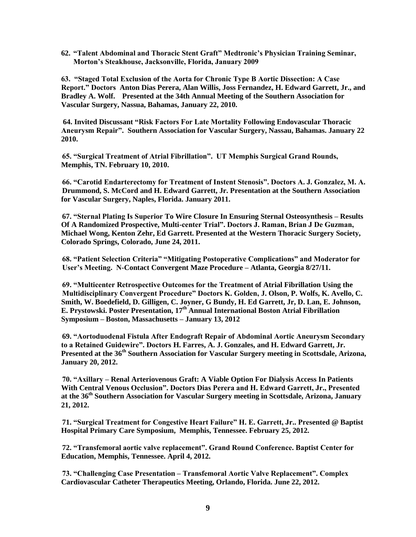**62. "Talent Abdominal and Thoracic Stent Graft" Medtronic's Physician Training Seminar, Morton's Steakhouse, Jacksonville, Florida, January 2009**

**63. "Staged Total Exclusion of the Aorta for Chronic Type B Aortic Dissection: A Case Report." Doctors Anton Dias Perera, Alan Willis, Joss Fernandez, H. Edward Garrett, Jr., and Bradley A. Wolf. Presented at the 34th Annual Meeting of the Southern Association for Vascular Surgery, Nassua, Bahamas, January 22, 2010.** 

**64. Invited Discussant "Risk Factors For Late Mortality Following Endovascular Thoracic Aneurysm Repair". Southern Association for Vascular Surgery, Nassau, Bahamas. January 22 2010.**

**65. "Surgical Treatment of Atrial Fibrillation". UT Memphis Surgical Grand Rounds, Memphis, TN. February 10, 2010.**

**66. "Carotid Endarterectomy for Treatment of Instent Stenosis". Doctors A. J. Gonzalez, M. A. Drummond, S. McCord and H. Edward Garrett, Jr. Presentation at the Southern Association for Vascular Surgery, Naples, Florida. January 2011.**

**67. "Sternal Plating Is Superior To Wire Closure In Ensuring Sternal Osteosynthesis – Results Of A Randomized Prospective, Multi-center Trial". Doctors J. Raman, Brian J De Guzman, Michael Wong, Kenton Zehr, Ed Garrett. Presented at the Western Thoracic Surgery Society, Colorado Springs, Colorado, June 24, 2011.** 

**68. "Patient Selection Criteria" "Mitigating Postoperative Complications" and Moderator for User's Meeting. N-Contact Convergent Maze Procedure – Atlanta, Georgia 8/27/11.**

**69. "Multicenter Retrospective Outcomes for the Treatment of Atrial Fibrillation Using the Multidisciplinary Convergent Procedure" Doctors K. Golden, J. Olson, P. Wolfs, K. Avello, C. Smith, W. Boedefield, D. Gilligen, C. Joyner, G Bundy, H. Ed Garrett, Jr, D. Lan, E. Johnson, E. Prystowski. Poster Presentation, 17th Annual International Boston Atrial Fibrillation Symposium – Boston, Massachusetts – January 13, 2012**

**69. "Aortoduodenal Fistula After Endograft Repair of Abdominal Aortic Aneurysm Secondary to a Retained Guidewire". Doctors H. Farres, A. J. Gonzales, and H. Edward Garrett, Jr. Presented at the 36th Southern Association for Vascular Surgery meeting in Scottsdale, Arizona, January 20, 2012.** 

**70. "Axillary – Renal Arteriovenous Graft: A Viable Option For Dialysis Access In Patients With Central Venous Occlusion". Doctors Dias Perera and H. Edward Garrett, Jr., Presented at the 36th Southern Association for Vascular Surgery meeting in Scottsdale, Arizona, January 21, 2012.** 

**71. "Surgical Treatment for Congestive Heart Failure" H. E. Garrett, Jr.. Presented @ Baptist Hospital Primary Care Symposium, Memphis, Tennessee. February 25, 2012.**

**72. "Transfemoral aortic valve replacement". Grand Round Conference. Baptist Center for Education, Memphis, Tennessee. April 4, 2012.**

**73. "Challenging Case Presentation – Transfemoral Aortic Valve Replacement". Complex Cardiovascular Catheter Therapeutics Meeting, Orlando, Florida. June 22, 2012.**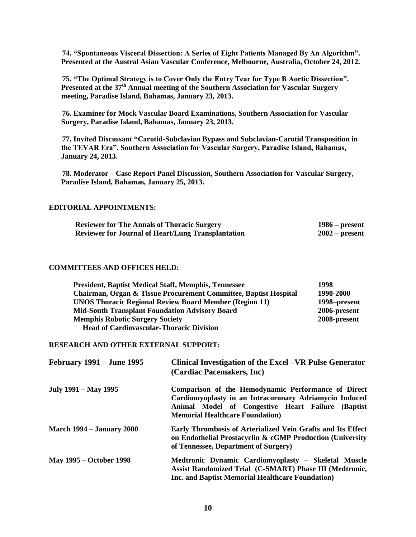**74. "Spontaneous Visceral Dissection: A Series of Eight Patients Managed By An Algorithm". Presented at the Austral Asian Vascular Conference, Melbourne, Australia, October 24, 2012.**

**75. "The Optimal Strategy is to Cover Only the Entry Tear for Type B Aortic Dissection". Presented at the 37th Annual meeting of the Southern Association for Vascular Surgery meeting, Paradise Island, Bahamas, January 23, 2013.** 

**76. Examiner for Mock Vascular Board Examinations, Southern Association for Vascular Surgery, Paradise Island, Bahamas, January 23, 2013.**

**77. Invited Discussant "Carotid-Subclavian Bypass and Subclavian-Carotid Transposition in the TEVAR Era". Southern Association for Vascular Surgery, Paradise Island, Bahamas, January 24, 2013.** 

**78. Moderator – Case Report Panel Discussion, Southern Association for Vascular Surgery, Paradise Island, Bahamas, January 25, 2013.** 

### **EDITORIAL APPOINTMENTS:**

| <b>Reviewer for The Annals of Thoracic Surgery</b>        | $1986$ – present |
|-----------------------------------------------------------|------------------|
| <b>Reviewer for Journal of Heart/Lung Transplantation</b> | $2002$ – present |

## **COMMITTEES AND OFFICES HELD:**

| <b>President, Baptist Medical Staff, Memphis, Tennessee</b>      | 1998         |
|------------------------------------------------------------------|--------------|
| Chairman, Organ & Tissue Procurement Committee, Baptist Hospital | 1990-2000    |
| <b>UNOS Thoracic Regional Review Board Member (Region 11)</b>    | 1998–present |
| <b>Mid-South Transplant Foundation Advisory Board</b>            | 2006-present |
| <b>Memphis Robotic Surgery Society</b>                           | 2008-present |
| <b>Head of Cardiovascular-Thoracic Division</b>                  |              |

## **RESEARCH AND OTHER EXTERNAL SUPPORT:**

| <b>February 1991 – June 1995</b> | Clinical Investigation of the Excel – VR Pulse Generator<br>(Cardiac Pacemakers, Inc)                                                                                                                         |
|----------------------------------|---------------------------------------------------------------------------------------------------------------------------------------------------------------------------------------------------------------|
| July 1991 – May 1995             | Comparison of the Hemodynamic Performance of Direct<br>Cardiomyoplasty in an Intracoronary Adriamycin Induced<br>Animal Model of Congestive Heart Failure (Baptist<br><b>Memorial Healthcare Foundation</b> ) |
| <b>March 1994 – January 2000</b> | Early Thrombosis of Arterialized Vein Grafts and Its Effect<br>on Endothelial Prostacyclin & cGMP Production (University<br>of Tennessee, Department of Surgery)                                              |
| <b>May 1995 – October 1998</b>   | Medtronic Dynamic Cardiomyoplasty - Skeletal Muscle<br>Assist Randomized Trial (C-SMART) Phase III (Medtronic,<br>Inc. and Baptist Memorial Healthcare Foundation)                                            |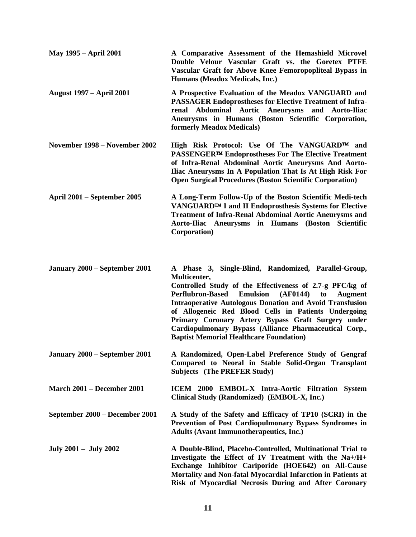| <b>May 1995 – April 2001</b>      | A Comparative Assessment of the Hemashield Microvel<br>Double Velour Vascular Graft vs. the Goretex PTFE<br>Vascular Graft for Above Knee Femoropopliteal Bypass in<br>Humans (Meadox Medicals, Inc.)                                                                                                                                                                                                                                                                                                           |
|-----------------------------------|-----------------------------------------------------------------------------------------------------------------------------------------------------------------------------------------------------------------------------------------------------------------------------------------------------------------------------------------------------------------------------------------------------------------------------------------------------------------------------------------------------------------|
| <b>August 1997 – April 2001</b>   | A Prospective Evaluation of the Meadox VANGUARD and<br><b>PASSAGER Endoprostheses for Elective Treatment of Infra-</b><br>renal Abdominal Aortic Aneurysms and Aorto-Iliac<br>Aneurysms in Humans (Boston Scientific Corporation,<br>formerly Meadox Medicals)                                                                                                                                                                                                                                                  |
| November 1998 – November 2002     | High Risk Protocol: Use Of The VANGUARD™ and<br>PASSENGER™ Endoprostheses For The Elective Treatment<br>of Infra-Renal Abdominal Aortic Aneurysms And Aorto-<br>Iliac Aneurysms In A Population That Is At High Risk For<br><b>Open Surgical Procedures (Boston Scientific Corporation)</b>                                                                                                                                                                                                                     |
| April 2001 – September 2005       | A Long-Term Follow-Up of the Boston Scientific Medi-tech<br>VANGUARD™ I and II Endoprosthesis Systems for Elective<br><b>Treatment of Infra-Renal Abdominal Aortic Aneurysms and</b><br>Aorto-Iliac Aneurysms in Humans (Boston Scientific<br>Corporation)                                                                                                                                                                                                                                                      |
| January 2000 – September 2001     | A Phase 3, Single-Blind, Randomized, Parallel-Group,<br>Multicenter,<br>Controlled Study of the Effectiveness of 2.7-g PFC/kg of<br><b>Emulsion</b><br><b>Perflubron-Based</b><br>(AF0144)<br><b>Augment</b><br>to<br><b>Intraoperative Autologous Donation and Avoid Transfusion</b><br>of Allogeneic Red Blood Cells in Patients Undergoing<br>Primary Coronary Artery Bypass Graft Surgery under<br>Cardiopulmonary Bypass (Alliance Pharmaceutical Corp.,<br><b>Baptist Memorial Healthcare Foundation)</b> |
| January 2000 – September 2001     | A Randomized, Open-Label Preference Study of Gengraf<br>Compared to Neoral in Stable Solid-Organ Transplant<br><b>Subjects</b> (The PREFER Study)                                                                                                                                                                                                                                                                                                                                                               |
| <b>March 2001 – December 2001</b> | ICEM 2000 EMBOL-X Intra-Aortic Filtration System<br>Clinical Study (Randomized) (EMBOL-X, Inc.)                                                                                                                                                                                                                                                                                                                                                                                                                 |
| September 2000 – December 2001    | A Study of the Safety and Efficacy of TP10 (SCRI) in the<br>Prevention of Post Cardiopulmonary Bypass Syndromes in<br><b>Adults (Avant Immunotherapeutics, Inc.)</b>                                                                                                                                                                                                                                                                                                                                            |
| July 2001 – July 2002             | A Double-Blind, Placebo-Controlled, Multinational Trial to<br>Investigate the Effect of IV Treatment with the Na+/H+<br>Exchange Inhibitor Cariporide (HOE642) on All-Cause<br>Mortality and Non-fatal Myocardial Infarction in Patients at<br>Risk of Myocardial Necrosis During and After Coronary                                                                                                                                                                                                            |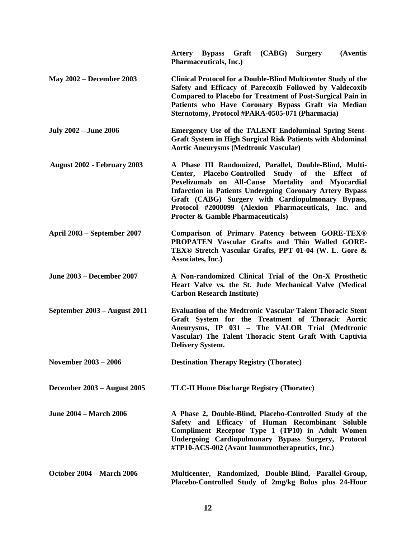|                                    | Artery Bypass Graft (CABG)<br><b>Surgery</b><br>(Aventis<br><b>Pharmaceuticals, Inc.)</b>                                                                                                                                                                                                                                                                                                        |
|------------------------------------|--------------------------------------------------------------------------------------------------------------------------------------------------------------------------------------------------------------------------------------------------------------------------------------------------------------------------------------------------------------------------------------------------|
| <b>May 2002 – December 2003</b>    | <b>Clinical Protocol for a Double-Blind Multicenter Study of the</b><br>Safety and Efficacy of Parecoxib Followed by Valdecoxib<br><b>Compared to Placebo for Treatment of Post-Surgical Pain in</b><br>Patients who Have Coronary Bypass Graft via Median<br>Sternotomy, Protocol #PARA-0505-071 (Pharmacia)                                                                                    |
| <b>July 2002 – June 2006</b>       | <b>Emergency Use of the TALENT Endoluminal Spring Stent-</b><br><b>Graft System in High Surgical Risk Patients with Abdominal</b><br><b>Aortic Aneurysms (Medtronic Vascular)</b>                                                                                                                                                                                                                |
| <b>August 2002 - February 2003</b> | A Phase III Randomized, Parallel, Double-Blind, Multi-<br>Center, Placebo-Controlled Study of the Effect of<br>Pexelizumab on All-Cause Mortality and Myocardial<br><b>Infarction in Patients Undergoing Coronary Artery Bypass</b><br>Graft (CABG) Surgery with Cardiopulmonary Bypass,<br>Protocol #2000099 (Alexion Pharmaceuticals, Inc. and<br><b>Procter &amp; Gamble Pharmaceuticals)</b> |
| April 2003 – September 2007        | Comparison of Primary Patency between GORE-TEX®<br>PROPATEN Vascular Grafts and Thin Walled GORE-<br>TEX® Stretch Vascular Grafts, PPT 01-04 (W. L. Gore &<br>Associates, Inc.)                                                                                                                                                                                                                  |
| <b>June 2003 – December 2007</b>   | A Non-randomized Clinical Trial of the On-X Prosthetic<br>Heart Valve vs. the St. Jude Mechanical Valve (Medical<br><b>Carbon Research Institute)</b>                                                                                                                                                                                                                                            |
| September 2003 – August 2011       | <b>Evaluation of the Medtronic Vascular Talent Thoracic Stent</b><br>Graft System for the Treatment of Thoracic Aortic<br>Aneurysms, IP 031 - The VALOR Trial (Medtronic<br>Vascular) The Talent Thoracic Stent Graft With Captivia<br><b>Delivery System.</b>                                                                                                                                   |
| November 2003 - 2006               | <b>Destination Therapy Registry (Thoratec)</b>                                                                                                                                                                                                                                                                                                                                                   |
| December 2003 - August 2005        | <b>TLC-II Home Discharge Registry (Thoratec)</b>                                                                                                                                                                                                                                                                                                                                                 |
| <b>June 2004 – March 2006</b>      | A Phase 2, Double-Blind, Placebo-Controlled Study of the<br>Safety and Efficacy of Human Recombinant Soluble<br>Compliment Receptor Type 1 (TP10) in Adult Women<br>Undergoing Cardiopulmonary Bypass Surgery, Protocol<br>#TP10-ACS-002 (Avant Immunotherapeutics, Inc.)                                                                                                                        |
| <b>October 2004 – March 2006</b>   | Multicenter, Randomized, Double-Blind, Parallel-Group,<br>Placebo-Controlled Study of 2mg/kg Bolus plus 24-Hour                                                                                                                                                                                                                                                                                  |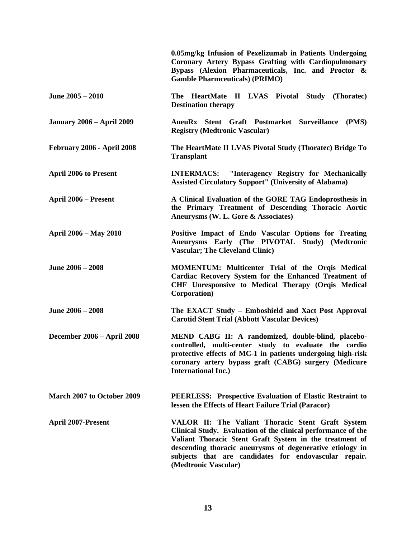|                                   | 0.05mg/kg Infusion of Pexelizumab in Patients Undergoing<br>Coronary Artery Bypass Grafting with Cardiopulmonary<br>Bypass (Alexion Pharmaceuticals, Inc. and Proctor &<br><b>Gamble Pharmceuticals</b> ) (PRIMO)                                                                                                           |
|-----------------------------------|-----------------------------------------------------------------------------------------------------------------------------------------------------------------------------------------------------------------------------------------------------------------------------------------------------------------------------|
| June 2005 - 2010                  | The HeartMate II LVAS Pivotal Study (Thoratec)<br><b>Destination therapy</b>                                                                                                                                                                                                                                                |
| <b>January 2006 - April 2009</b>  | AneuRx Stent Graft Postmarket Surveillance (PMS)<br><b>Registry (Medtronic Vascular)</b>                                                                                                                                                                                                                                    |
| February 2006 - April 2008        | The HeartMate II LVAS Pivotal Study (Thoratec) Bridge To<br><b>Transplant</b>                                                                                                                                                                                                                                               |
| <b>April 2006 to Present</b>      | <b>INTERMACS:</b> "Interagency Registry for Mechanically<br><b>Assisted Circulatory Support" (University of Alabama)</b>                                                                                                                                                                                                    |
| April 2006 – Present              | A Clinical Evaluation of the GORE TAG Endoprosthesis in<br>the Primary Treatment of Descending Thoracic Aortic<br>Aneurysms (W. L. Gore & Associates)                                                                                                                                                                       |
| April 2006 - May 2010             | Positive Impact of Endo Vascular Options for Treating<br>Aneurysms Early (The PIVOTAL Study) (Medtronic<br><b>Vascular; The Cleveland Clinic)</b>                                                                                                                                                                           |
| June 2006 - 2008                  | MOMENTUM: Multicenter Trial of the Orqis Medical<br>Cardiac Recovery System for the Enhanced Treatment of<br>CHF Unresponsive to Medical Therapy (Orqis Medical<br>Corporation)                                                                                                                                             |
| June 2006 - 2008                  | The EXACT Study - Emboshield and Xact Post Approval<br><b>Carotid Stent Trial (Abbott Vascular Devices)</b>                                                                                                                                                                                                                 |
| <b>December 2006 - April 2008</b> | MEND CABG II: A randomized, double-blind, placebo-<br>controlled, multi-center study to evaluate the cardio<br>protective effects of MC-1 in patients undergoing high-risk<br>coronary artery bypass graft (CABG) surgery (Medicure<br><b>International Inc.)</b>                                                           |
| March 2007 to October 2009        | <b>PEERLESS:</b> Prospective Evaluation of Elastic Restraint to<br>lessen the Effects of Heart Failure Trial (Paracor)                                                                                                                                                                                                      |
| <b>April 2007-Present</b>         | VALOR II: The Valiant Thoracic Stent Graft System<br>Clinical Study. Evaluation of the clinical performance of the<br>Valiant Thoracic Stent Graft System in the treatment of<br>descending thoracic aneurysms of degenerative etiology in<br>subjects that are candidates for endovascular repair.<br>(Medtronic Vascular) |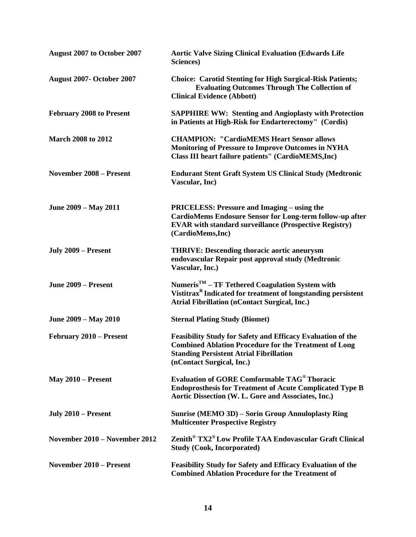| August 2007 to October 2007     | <b>Aortic Valve Sizing Clinical Evaluation (Edwards Life</b><br>Sciences)                                                                                                                                         |
|---------------------------------|-------------------------------------------------------------------------------------------------------------------------------------------------------------------------------------------------------------------|
| August 2007- October 2007       | <b>Choice: Carotid Stenting for High Surgical-Risk Patients;</b><br><b>Evaluating Outcomes Through The Collection of</b><br><b>Clinical Evidence (Abbott)</b>                                                     |
| <b>February 2008 to Present</b> | <b>SAPPHIRE WW: Stenting and Angioplasty with Protection</b><br>in Patients at High-Risk for Endarterectomy" (Cordis)                                                                                             |
| <b>March 2008 to 2012</b>       | <b>CHAMPION: "CardioMEMS Heart Sensor allows</b><br><b>Monitoring of Pressure to Improve Outcomes in NYHA</b><br>Class III heart failure patients" (CardioMEMS, Inc)                                              |
| <b>November 2008 - Present</b>  | <b>Endurant Stent Graft System US Clinical Study (Medtronic</b><br>Vascular, Inc)                                                                                                                                 |
| June 2009 – May 2011            | <b>PRICELESS: Pressure and Imaging – using the</b><br><b>CardioMems Endosure Sensor for Long-term follow-up after</b><br><b>EVAR</b> with standard surveillance (Prospective Registry)<br>(CardioMems,Inc)        |
| July 2009 – Present             | <b>THRIVE: Descending thoracic aortic aneurysm</b><br>endovascular Repair post approval study (Medtronic<br>Vascular, Inc.)                                                                                       |
| June 2009 – Present             | Numeris <sup>TM</sup> – TF Tethered Coagulation System with<br>Vistitrax <sup>R</sup> Indicated for treatment of longstanding persistent<br><b>Atrial Fibrillation (nContact Surgical, Inc.)</b>                  |
| June 2009 – May 2010            | <b>Sternal Plating Study (Biomet)</b>                                                                                                                                                                             |
| February 2010 – Present         | <b>Feasibility Study for Safety and Efficacy Evaluation of the</b><br><b>Combined Ablation Procedure for the Treatment of Long</b><br><b>Standing Persistent Atrial Fibrillation</b><br>(nContact Surgical, Inc.) |
| May $2010$ – Present            | <b>Evaluation of GORE Comformable TAG<sup>®</sup> Thoracic</b><br><b>Endoprosthesis for Treatment of Acute Complicated Type B</b><br>Aortic Dissection (W. L. Gore and Associates, Inc.)                          |
| July 2010 – Present             | Sunrise (MEMO 3D) – Sorin Group Annuloplasty Ring<br><b>Multicenter Prospective Registry</b>                                                                                                                      |
| November 2010 – November 2012   | Zenith <sup>®</sup> TX2 <sup>®</sup> Low Profile TAA Endovascular Graft Clinical<br><b>Study (Cook, Incorporated)</b>                                                                                             |
| <b>November 2010 – Present</b>  | <b>Feasibility Study for Safety and Efficacy Evaluation of the</b><br><b>Combined Ablation Procedure for the Treatment of</b>                                                                                     |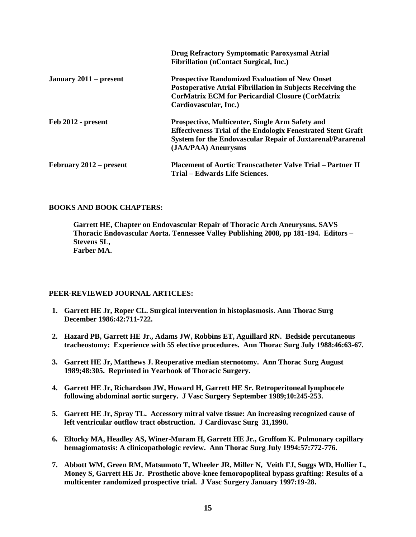|                         | <b>Drug Refractory Symptomatic Paroxysmal Atrial</b><br><b>Fibrillation (nContact Surgical, Inc.)</b>                                                                                                              |
|-------------------------|--------------------------------------------------------------------------------------------------------------------------------------------------------------------------------------------------------------------|
| January 2011 – present  | <b>Prospective Randomized Evaluation of New Onset</b><br><b>Postoperative Atrial Fibrillation in Subjects Receiving the</b><br><b>CorMatrix ECM for Pericardial Closure (CorMatrix</b><br>Cardiovascular, Inc.)    |
| Feb 2012 - present      | Prospective, Multicenter, Single Arm Safety and<br><b>Effectiveness Trial of the Endologix Fenestrated Stent Graft</b><br><b>System for the Endovascular Repair of Juxtarenal/Pararenal</b><br>(JAA/PAA) Aneurysms |
| February 2012 – present | <b>Placement of Aortic Transcatheter Valve Trial – Partner II</b><br>Trial – Edwards Life Sciences.                                                                                                                |

# **BOOKS AND BOOK CHAPTERS:**

**Garrett HE, Chapter on Endovascular Repair of Thoracic Arch Aneurysms. SAVS Thoracic Endovascular Aorta. Tennessee Valley Publishing 2008, pp 181-194. Editors – Stevens SL, Farber MA.** 

# **PEER-REVIEWED JOURNAL ARTICLES:**

- **1. Garrett HE Jr, Roper CL. Surgical intervention in histoplasmosis. Ann Thorac Surg December 1986:42:711-722.**
- **2. Hazard PB, Garrett HE Jr., Adams JW, Robbins ET, Aguillard RN. Bedside percutaneous tracheostomy: Experience with 55 elective procedures. Ann Thorac Surg July 1988:46:63-67.**
- **3. Garrett HE Jr, Matthews J. Reoperative median sternotomy. Ann Thorac Surg August 1989;48:305. Reprinted in Yearbook of Thoracic Surgery.**
- **4. Garrett HE Jr, Richardson JW, Howard H, Garrett HE Sr. Retroperitoneal lymphocele following abdominal aortic surgery. J Vasc Surgery September 1989;10:245-253.**
- **5. Garrett HE Jr, Spray TL. Accessory mitral valve tissue: An increasing recognized cause of left ventricular outflow tract obstruction. J Cardiovasc Surg 31,1990.**
- **6. Eltorky MA, Headley AS, Winer-Muram H, Garrett HE Jr., Groffom K. Pulmonary capillary hemagiomatosis: A clinicopathologic review. Ann Thorac Surg July 1994:57:772-776.**
- **7. Abbott WM, Green RM, Matsumoto T, Wheeler JR, Miller N, Veith FJ, Suggs WD, Hollier L, Money S, Garrett HE Jr. Prosthetic above-knee femoropopliteal bypass grafting: Results of a multicenter randomized prospective trial. J Vasc Surgery January 1997:19-28.**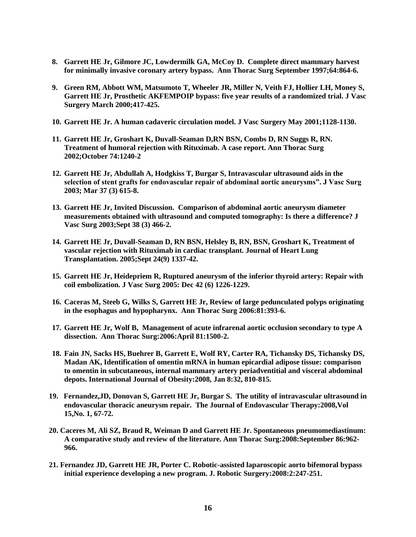- **8. Garrett HE Jr, Gilmore JC, Lowdermilk GA, McCoy D. Complete direct mammary harvest for minimally invasive coronary artery bypass. Ann Thorac Surg September 1997;64:864-6.**
- **9. Green RM, Abbott WM, Matsumoto T, Wheeler JR, Miller N, Veith FJ, Hollier LH, Money S, Garrett HE Jr, Prosthetic AKFEMPOIP bypass: five year results of a randomized trial. J Vasc Surgery March 2000;417-425.**
- **10. Garrett HE Jr. A human cadaveric circulation model. J Vasc Surgery May 2001;1128-1130.**
- **11. Garrett HE Jr, Groshart K, Duvall-Seaman D,RN BSN, Combs D, RN Suggs R, RN. Treatment of humoral rejection with Rituximab. A case report. Ann Thorac Surg 2002;October 74:1240-2**
- **12. Garrett HE Jr, Abdullah A, Hodgkiss T, Burgar S, Intravascular ultrasound aids in the selection of stent grafts for endovascular repair of abdominal aortic aneurysms". J Vasc Surg 2003; Mar 37 (3) 615-8.**
- **13. Garrett HE Jr, Invited Discussion. Comparison of abdominal aortic aneurysm diameter measurements obtained with ultrasound and computed tomography: Is there a difference? J Vasc Surg 2003;Sept 38 (3) 466-2.**
- **14. Garrett HE Jr, Duvall-Seaman D, RN BSN, Helsley B, RN, BSN, Groshart K, Treatment of vascular rejection with Rituximab in cardiac transplant. Journal of Heart Lung Transplantation. 2005;Sept 24(9) 1337-42.**
- **15. Garrett HE Jr, Heidepriem R, Ruptured aneurysm of the inferior thyroid artery: Repair with coil embolization. J Vasc Surg 2005: Dec 42 (6) 1226-1229.**
- **16. Caceras M, Steeb G, Wilks S, Garrett HE Jr, Review of large pedunculated polyps originating in the esophagus and hypopharynx. Ann Thorac Surg 2006:81:393-6.**
- **17. Garrett HE Jr, Wolf B, Management of acute infrarenal aortic occlusion secondary to type A dissection. Ann Thorac Surg:2006:April 81:1500-2.**
- **18. Fain JN, Sacks HS, Buehrer B, Garrett E, Wolf RY, Carter RA, Tichansky DS, Tichansky DS, Madan AK, Identification of omentin mRNA in human epicardial adipose tissue: comparison to omentin in subcutaneous, internal mammary artery periadventitial and visceral abdominal depots. International Journal of Obesity:2008, Jan 8:32, 810-815.**
- **19. Fernandez,JD, Donovan S, Garrett HE Jr, Burgar S. The utility of intravascular ultrasound in endovascular thoracic aneurysm repair. The Journal of Endovascular Therapy:2008,Vol 15,No. 1, 67-72.**
- **20. Caceres M, Ali SZ, Braud R, Weiman D and Garrett HE Jr. Spontaneous pneumomediastinum: A comparative study and review of the literature. Ann Thorac Surg:2008:September 86:962- 966.**
- **21. Fernandez JD, Garrett HE JR, Porter C. Robotic-assisted laparoscopic aorto bifemoral bypass initial experience developing a new program. J. Robotic Surgery:2008:2:247-251.**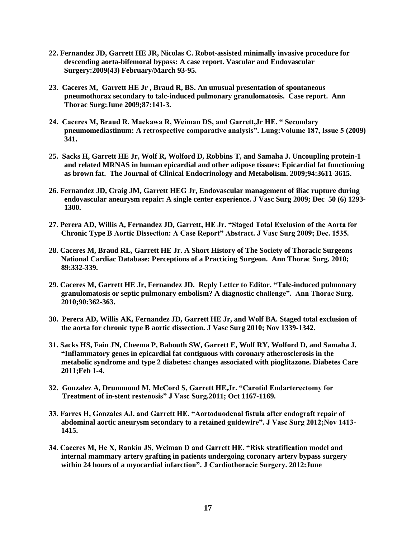- **22. Fernandez JD, Garrett HE JR, Nicolas C. Robot-assisted minimally invasive procedure for descending aorta-bifemoral bypass: A case report. Vascular and Endovascular Surgery:2009(43) February/March 93-95.**
- **23. Caceres M, Garrett HE Jr , Braud R, BS. An unusual presentation of spontaneous pneumothorax secondary to talc-induced pulmonary granulomatosis. Case report. Ann Thorac Surg:June 2009;87:141-3.**
- **24. Caceres M, Braud R, Maekawa R, Weiman DS, and Garrett,Jr HE. " Secondary pneumomediastinum: A retrospective comparative analysis". Lung:Volume 187, Issue 5 (2009) 341.**
- **25. Sacks H, Garrett HE Jr, Wolf R, Wolford D, Robbins T, and Samaha J. Uncoupling protein-1 and related MRNAS in human epicardial and other adipose tissues: Epicardial fat functioning as brown fat. The Journal of Clinical Endocrinology and Metabolism. 2009;94:3611-3615.**
- **26. Fernandez JD, Craig JM, Garrett HEG Jr, Endovascular management of iliac rupture during endovascular aneurysm repair: A single center experience. J Vasc Surg 2009; Dec 50 (6) 1293- 1300.**
- **27. Perera AD, Willis A, Fernandez JD, Garrett, HE Jr. "Staged Total Exclusion of the Aorta for Chronic Type B Aortic Dissection: A Case Report" Abstract. J Vasc Surg 2009; Dec. 1535.**
- **28. Caceres M, Braud RL, Garrett HE Jr. A Short History of The Society of Thoracic Surgeons National Cardiac Database: Perceptions of a Practicing Surgeon. Ann Thorac Surg. 2010; 89:332-339.**
- **29. Caceres M, Garrett HE Jr, Fernandez JD. Reply Letter to Editor. "Talc-induced pulmonary granulomatosis or septic pulmonary embolism? A diagnostic challenge". Ann Thorac Surg. 2010;90:362-363.**
- **30. Perera AD, Willis AK, Fernandez JD, Garrett HE Jr, and Wolf BA. Staged total exclusion of the aorta for chronic type B aortic dissection. J Vasc Surg 2010; Nov 1339-1342.**
- **31. Sacks HS, Fain JN, Cheema P, Bahouth SW, Garrett E, Wolf RY, Wolford D, and Samaha J. "Inflammatory genes in epicardial fat contiguous with coronary atherosclerosis in the metabolic syndrome and type 2 diabetes: changes associated with pioglitazone. Diabetes Care 2011;Feb 1-4.**
- **32. Gonzalez A, Drummond M, McCord S, Garrett HE,Jr. "Carotid Endarterectomy for Treatment of in-stent restenosis" J Vasc Surg.2011; Oct 1167-1169.**
- **33. Farres H, Gonzales AJ, and Garrett HE. "Aortoduodenal fistula after endograft repair of abdominal aortic aneurysm secondary to a retained guidewire". J Vasc Surg 2012;Nov 1413- 1415.**
- **34. Caceres M, He X, Rankin JS, Weiman D and Garrett HE. "Risk stratification model and internal mammary artery grafting in patients undergoing coronary artery bypass surgery within 24 hours of a myocardial infarction". J Cardiothoracic Surgery. 2012:June**